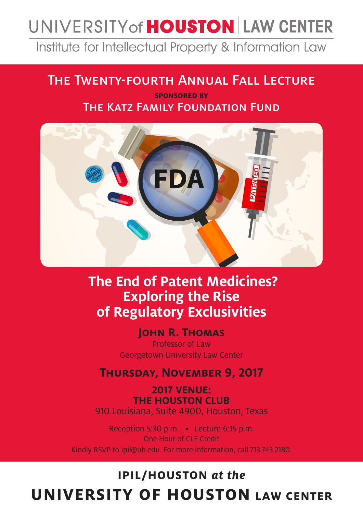# UNIVERSITY of **HOUSTON** LAW CENTER

Institute for Intellectual Property & Information Law

### The Twenty-fourth Annual Fall Lecture

**sponsored by** The Katz Family Foundation Fund



## **The End of Patent Medicines? Exploring the Rise of Regulatory Exclusivities**

**JOHN R. THOMAS** 

Professor of Law Georgetown University Law Center

**Thursday, November 9, 2017**

**2017 VENUE: THE HOUSTON CLUB** 910 Louisiana, Suite 4900, Houston, Texas

Reception 5:30 p.m. • Lecture 6:15 p.m. One Hour of CLE Credit Kindly RSVP to ipil@uh.edu. For more information, call 713.743.2180.

# **IPIL/HOUSTON** *at the* **UNIVERSITY OF HOUSTON LAW CENTER**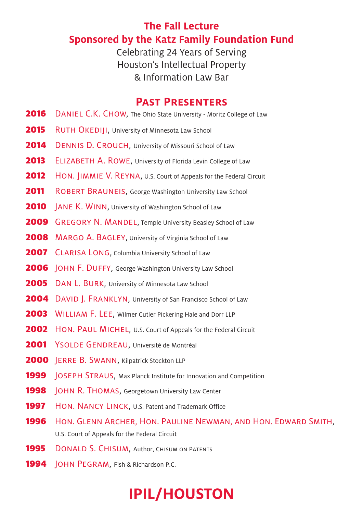#### **The Fall Lecture Sponsored by the Katz Family Foundation Fund**

Celebrating 24 Years of Serving Houston's Intellectual Property & Information Law Bar

#### **Past Presenters**

- **2016** DANIEL C.K. CHOW, The Ohio State University Moritz College of Law
- 2015 RUTH OKEDIJI, University of Minnesota Law School
- 2014 DENNIS D. CROUCH, University of Missouri School of Law
- 2013 ELIZABETH A. ROWE, University of Florida Levin College of Law
- **2012** HON. JIMMIE V. REYNA, U.S. Court of Appeals for the Federal Circuit
- 2011 ROBERT BRAUNEIS, George Washington University Law School
- **2010** | ANE K. WINN, University of Washington School of Law
- **2009** GREGORY N. MANDEL, Temple University Beasley School of Law
- **2008** MARGO A. BAGLEY, University of Virginia School of Law
- **2007** CLARISA LONG, Columbia University School of Law
- 2006 JOHN F. DUFFY, George Washington University Law School
- 2005 DAN L. BURK, University of Minnesota Law School
- 2004 DAVID | FRANKLYN, University of San Francisco School of Law
- 2003 WILLIAM F. LEE, Wilmer Cutler Pickering Hale and Dorr LLP
- **2002** HON. PAUL MICHEL, U.S. Court of Appeals for the Federal Circuit
- 2001 YSOLDE GENDREAU, Université de Montréal
- 2000 JERRE B. SWANN, Kilpatrick Stockton LLP
- **1999 JOSEPH STRAUS, Max Planck Institute for Innovation and Competition**
- **1998** JOHN R. THOMAS, Georgetown University Law Center
- 1997 HON. NANCY LINCK, U.S. Patent and Trademark Office
- 1996 Hon. Glenn Archer, Hon. Pauline Newman, and Hon. Edward Smith, U.S. Court of Appeals for the Federal Circuit
- **1995** DONALD S. CHISUM, Author, CHISUM ON PATENTS
- 1994 | OHN PEGRAM, Fish & Richardson P.C.

# **IPIL/HOUSTON**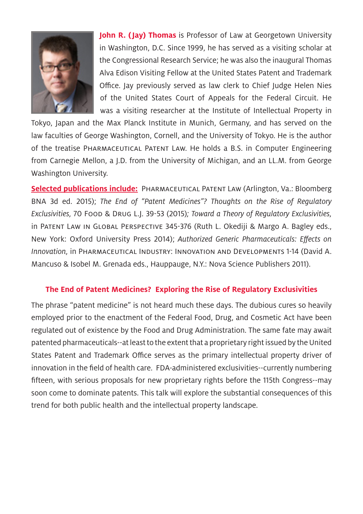

**John R. (Jay) Thomas** is Professor of Law at Georgetown University in Washington, D.C. Since 1999, he has served as a visiting scholar at the Congressional Research Service; he was also the inaugural Thomas Alva Edison Visiting Fellow at the United States Patent and Trademark Office. Jay previously served as law clerk to Chief Judge Helen Nies of the United States Court of Appeals for the Federal Circuit. He was a visiting researcher at the Institute of Intellectual Property in

Tokyo, Japan and the Max Planck Institute in Munich, Germany, and has served on the law faculties of George Washington, Cornell, and the University of Tokyo. He is the author of the treatise Pharmaceutical Patent Law. He holds a B.S. in Computer Engineering from Carnegie Mellon, a J.D. from the University of Michigan, and an LL.M. from George Washington University.

**Selected publications include:** Pharmaceutical Patent Law (Arlington, Va.: Bloomberg BNA 3d ed. 2015); *The End of "Patent Medicines"? Thoughts on the Rise of Regulatory Exclusivities,* 70 Food & Drug L.J. 39-53 (2015)*; Toward a Theory of Regulatory Exclusivities,*  in Patent Law in Global Perspective 345-376 (Ruth L. Okediji & Margo A. Bagley eds., New York: Oxford University Press 2014); *Authorized Generic Pharmaceuticals: Effects on Innovation,* in Pharmaceutical Industry: Innovation and Developments 1-14 (David A. Mancuso & Isobel M. Grenada eds., Hauppauge, N.Y.: Nova Science Publishers 2011).

#### **The End of Patent Medicines? Exploring the Rise of Regulatory Exclusivities**

The phrase "patent medicine" is not heard much these days. The dubious cures so heavily employed prior to the enactment of the Federal Food, Drug, and Cosmetic Act have been regulated out of existence by the Food and Drug Administration. The same fate may await patented pharmaceuticals--at least to the extent that a proprietary right issued by the United States Patent and Trademark Office serves as the primary intellectual property driver of innovation in the field of health care. FDA-administered exclusivities--currently numbering fifteen, with serious proposals for new proprietary rights before the 115th Congress--may soon come to dominate patents. This talk will explore the substantial consequences of this trend for both public health and the intellectual property landscape.